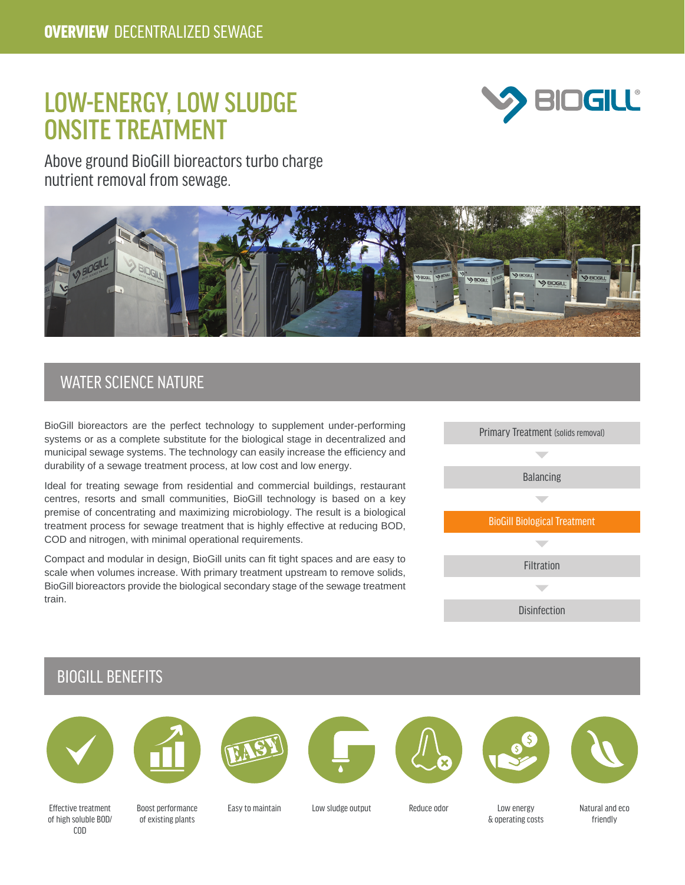# LOW-ENERGY, LOW SLUDGE ONSITE TREATMENT



Above ground BioGill bioreactors turbo charge nutrient removal from sewage.



#### WATER SCIENCE NATURE

BioGill bioreactors are the perfect technology to supplement under-performing systems or as a complete substitute for the biological stage in decentralized and municipal sewage systems. The technology can easily increase the efficiency and durability of a sewage treatment process, at low cost and low energy.

Ideal for treating sewage from residential and commercial buildings, restaurant centres, resorts and small communities, BioGill technology is based on a key premise of concentrating and maximizing microbiology. The result is a biological treatment process for sewage treatment that is highly effective at reducing BOD, COD and nitrogen, with minimal operational requirements.

Compact and modular in design, BioGill units can fit tight spaces and are easy to scale when volumes increase. With primary treatment upstream to remove solids, BioGill bioreactors provide the biological secondary stage of the sewage treatment train.



#### BIOGILL BENEFITS

















Effective treatment of high soluble BOD/ COD

Boost performance of existing plants

Easy to maintain Low sludge output Reduce odor Low energy

& operating costs

Natural and eco friendly